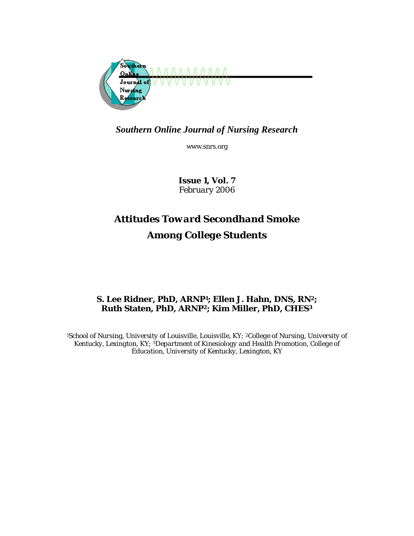

## *Southern Online Journal of Nursing Research*

www.snrs.org

*Issue 1, Vol. 7 February 2006* 

# *Attitudes Toward Secondhand Smoke Among College Students*

## **S. Lee Ridner, PhD, ARNP1; Ellen J. Hahn, DNS, RN2; Ruth Staten, PhD, ARNP2; Kim Miller, PhD, CHES3**

*1School of Nursing, University of Louisville, Louisville, KY; 2College of Nursing, University of Kentucky, Lexington, KY; 3Department of Kinesiology and Health Promotion, College of Education, University of Kentucky, Lexington, KY*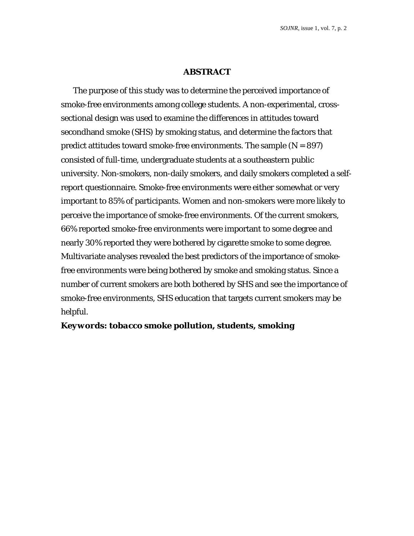## **ABSTRACT**

The purpose of this study was to determine the perceived importance of smoke-free environments among college students. A non-experimental, crosssectional design was used to examine the differences in attitudes toward secondhand smoke (SHS) by smoking status, and determine the factors that predict attitudes toward smoke-free environments. The sample (*N* = 897) consisted of full-time, undergraduate students at a southeastern public university. Non-smokers, non-daily smokers, and daily smokers completed a selfreport questionnaire. Smoke-free environments were either somewhat or very important to 85% of participants. Women and non-smokers were more likely to perceive the importance of smoke-free environments. Of the current smokers, 66% reported smoke-free environments were important to some degree and nearly 30% reported they were bothered by cigarette smoke to some degree. Multivariate analyses revealed the best predictors of the importance of smokefree environments were being bothered by smoke and smoking status. Since a number of current smokers are both bothered by SHS and see the importance of smoke-free environments, SHS education that targets current smokers may be helpful.

*Keywords***:** *tobacco smoke pollution, students, smoking*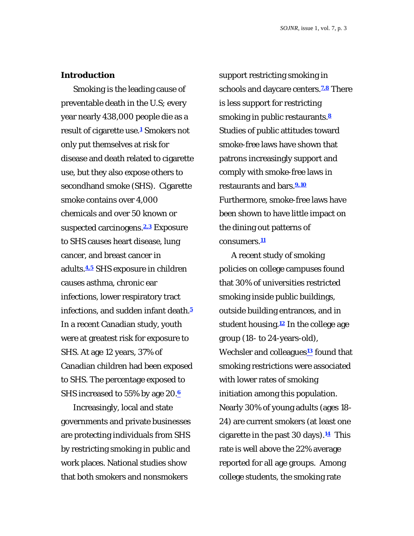#### **Introduction**

Smoking is the leading cause of preventable death in the U.S; every year nearly 438,000 people die as a result of cigarette use.**<sup>1</sup>** Smokers not only put themselves at risk for disease and death related to cigarette use, but they also expose others to secondhand smoke (SHS). Cigarette smoke contains over 4,000 chemicals and over 50 known or suspected carcinogens.**2,3** Exposure to SHS causes heart disease, lung cancer, and breast cancer in adults.**4,5** SHS exposure in children causes asthma, chronic ear infections, lower respiratory tract infections, and sudden infant death.**<sup>5</sup>** In a recent Canadian study, youth were at greatest risk for exposure to SHS. At age 12 years, 37% of Canadian children had been exposed to SHS. The percentage exposed to SHS increased to 55% by age 20.**<sup>6</sup>**

Increasingly, local and state governments and private businesses are protecting individuals from SHS by restricting smoking in public and work places. National studies show that both smokers and nonsmokers

support restricting smoking in schools and daycare centers.**7,8** There is less support for restricting smoking in public restaurants.**<sup>8</sup>** Studies of public attitudes toward smoke-free laws have shown that patrons increasingly support and comply with smoke-free laws in restaurants and bars.**9,10** Furthermore, smoke-free laws have been shown to have little impact on the dining out patterns of consumers.**<sup>11</sup>**

A recent study of smoking policies on college campuses found that 30% of universities restricted smoking inside public buildings, outside building entrances, and in student housing.**<sup>12</sup>** In the college age group (18- to 24-years-old), Wechsler and colleagues**<sup>13</sup>** found that smoking restrictions were associated with lower rates of smoking initiation among this population. Nearly 30% of young adults (ages 18- 24) are current smokers (at least one cigarette in the past 30 days).**14** This rate is well above the 22% average reported for all age groups. Among college students, the smoking rate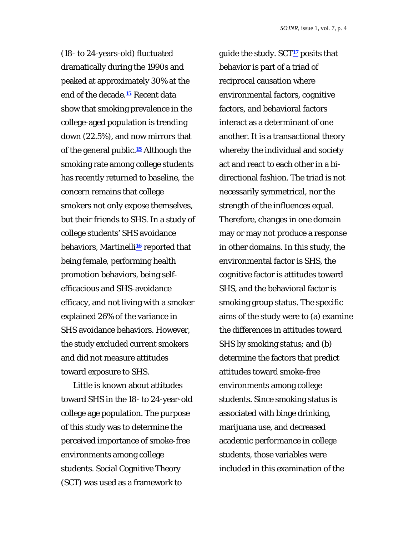(18- to 24-years-old) fluctuated dramatically during the 1990s and peaked at approximately 30% at the end of the decade.**<sup>15</sup>** Recent data show that smoking prevalence in the college-aged population is trending down (22.5%), and now mirrors that of the general public.**15** Although the smoking rate among college students has recently returned to baseline, the concern remains that college smokers not only expose themselves, but their friends to SHS. In a study of college students' SHS avoidance behaviors, Martinelli**16** reported that being female, performing health promotion behaviors, being selfefficacious and SHS-avoidance efficacy, and not living with a smoker explained 26% of the variance in SHS avoidance behaviors. However, the study excluded current smokers and did not measure attitudes toward exposure to SHS.

Little is known about attitudes toward SHS in the 18- to 24-year-old college age population. The purpose of this study was to determine the perceived importance of smoke-free environments among college students. Social Cognitive Theory (SCT) was used as a framework to

guide the study. SCT**17** posits that behavior is part of a triad of reciprocal causation where environmental factors, cognitive factors, and behavioral factors interact as a determinant of one another. It is a transactional theory whereby the individual and society act and react to each other in a bidirectional fashion. The triad is not necessarily symmetrical, nor the strength of the influences equal. Therefore, changes in one domain may or may not produce a response in other domains. In this study, the environmental factor is SHS, the cognitive factor is attitudes toward SHS, and the behavioral factor is smoking group status. The specific aims of the study were to (a) examine the differences in attitudes toward SHS by smoking status; and (b) determine the factors that predict attitudes toward smoke-free environments among college students. Since smoking status is associated with binge drinking, marijuana use, and decreased academic performance in college students, those variables were included in this examination of the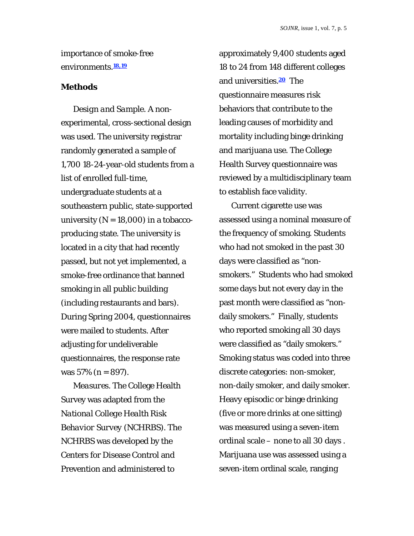importance of smoke-free environments.**18,19**

## **Methods**

*Design and Sample.* A nonexperimental, cross-sectional design was used. The university registrar randomly generated a sample of 1,700 18-24-year-old students from a list of enrolled full-time, undergraduate students at a southeastern public, state-supported university (*N* = 18,000) in a tobaccoproducing state. The university is located in a city that had recently passed, but not yet implemented, a smoke-free ordinance that banned smoking in all public building (including restaurants and bars). During Spring 2004, questionnaires were mailed to students. After adjusting for undeliverable questionnaires, the response rate was 57% (*n* = 897).

*Measures.* The College Health Survey was adapted from the *National College Health Risk Behavior Survey* (NCHRBS). The NCHRBS was developed by the Centers for Disease Control and Prevention and administered to

approximately 9,400 students aged 18 to 24 from 148 different colleges and universities.**20** The questionnaire measures risk behaviors that contribute to the leading causes of morbidity and mortality including binge drinking and marijuana use. The College Health Survey questionnaire was reviewed by a multidisciplinary team to establish face validity.

Current cigarette use was assessed using a nominal measure of the frequency of smoking. Students who had not smoked in the past 30 days were classified as "nonsmokers." Students who had smoked some days but not every day in the past month were classified as "nondaily smokers." Finally, students who reported smoking all 30 days were classified as "daily smokers." Smoking status was coded into three discrete categories: non-smoker, non-daily smoker, and daily smoker. Heavy episodic or binge drinking (five or more drinks at one sitting) was measured using a seven-item ordinal scale – none to all 30 days . Marijuana use was assessed using a seven-item ordinal scale, ranging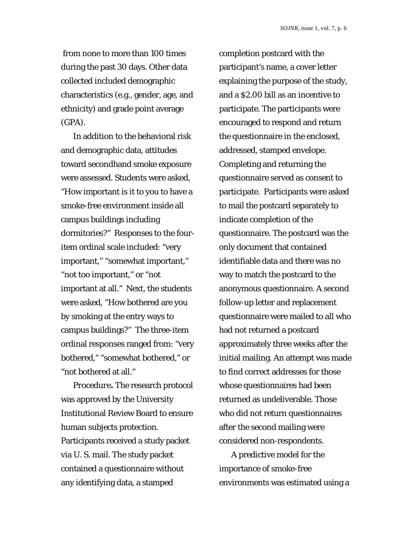from none to more than 100 times during the past 30 days. Other data collected included demographic characteristics (e.g., gender, age, and ethnicity) and grade point average (GPA).

In addition to the behavioral risk and demographic data, attitudes toward secondhand smoke exposure were assessed. Students were asked, "How important is it to you to have a smoke-free environment inside all campus buildings including dormitories?" Responses to the fouritem ordinal scale included: "very important," "somewhat important," "not too important," or "not important at all." Next, the students were asked, "How bothered are you by smoking at the entry ways to campus buildings?" The three-item ordinal responses ranged from: "very bothered," "somewhat bothered," or "not bothered at all."

*Procedure***.** The research protocol was approved by the University Institutional Review Board to ensure human subjects protection. Participants received a study packet via U. S. mail. The study packet contained a questionnaire without any identifying data, a stamped

completion postcard with the participant's name, a cover letter explaining the purpose of the study, and a \$2.00 bill as an incentive to participate. The participants were encouraged to respond and return the questionnaire in the enclosed, addressed, stamped envelope. Completing and returning the questionnaire served as consent to participate. Participants were asked to mail the postcard separately to indicate completion of the questionnaire. The postcard was the only document that contained identifiable data and there was no way to match the postcard to the anonymous questionnaire. A second follow-up letter and replacement questionnaire were mailed to all who had not returned a postcard approximately three weeks after the initial mailing. An attempt was made to find correct addresses for those whose questionnaires had been returned as undeliverable. Those who did not return questionnaires after the second mailing were considered non-respondents.

A predictive model for the importance of smoke-free environments was estimated using a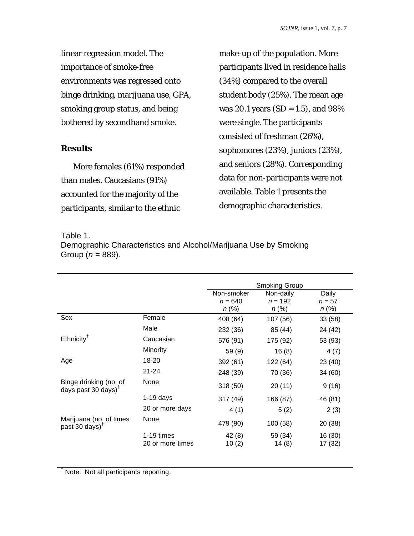linear regression model. The importance of smoke-free environments was regressed onto binge drinking, marijuana use, GPA, smoking group status, and being bothered by secondhand smoke.

## **Results**

More females (61%) responded than males. Caucasians (91%) accounted for the majority of the participants, similar to the ethnic

make-up of the population. More participants lived in residence halls (34%) compared to the overall student body (25%). The mean age was 20.1 years (*SD* = 1.5), and 98% were single. The participants consisted of freshman (26%), sophomores (23%), juniors (23%), and seniors (28%). Corresponding data for non-participants were not available. Table 1 presents the demographic characteristics.

Table 1.

Demographic Characteristics and Alcohol/Marijuana Use by Smoking Group (*n* = 889).

|                                                  |                  |                                     | <b>Smoking Group</b>               |                               |
|--------------------------------------------------|------------------|-------------------------------------|------------------------------------|-------------------------------|
|                                                  |                  | Non-smoker<br>$n = 640$<br>$n (\%)$ | Non-daily<br>$n = 192$<br>$n (\%)$ | Daily<br>$n = 57$<br>$n (\%)$ |
| Sex                                              | Female           | 408 (64)                            | 107 (56)                           | 33(58)                        |
|                                                  | Male             | 232 (36)                            | 85 (44)                            | 24 (42)                       |
| $E$ thnicity <sup>†</sup>                        | Caucasian        | 576 (91)                            | 175 (92)                           | 53 (93)                       |
|                                                  | Minority         | 59(9)                               | 16(8)                              | 4(7)                          |
| Age                                              | 18-20            | 392 (61)                            | 122 (64)                           | 23 (40)                       |
|                                                  | $21 - 24$        | 248 (39)                            | 70 (36)                            | 34 (60)                       |
| Binge drinking (no. of<br>days past 30 days) $†$ | None             | 318(50)                             | 20(11)                             | 9(16)                         |
|                                                  | $1-19$ days      | 317(49)                             | 166 (87)                           | 46 (81)                       |
|                                                  | 20 or more days  | 4(1)                                | 5(2)                               | 2(3)                          |
| Marijuana (no. of times<br>past 30 days) $†$     | None             | 479 (90)                            | 100 (58)                           | 20 (38)                       |
|                                                  | $1-19$ times     | 42(8)                               | 59 (34)                            | 16 (30)                       |
|                                                  | 20 or more times | 10(2)                               | 14(8)                              | 17 (32)                       |

<sup>†</sup> Note: Not all participants reporting.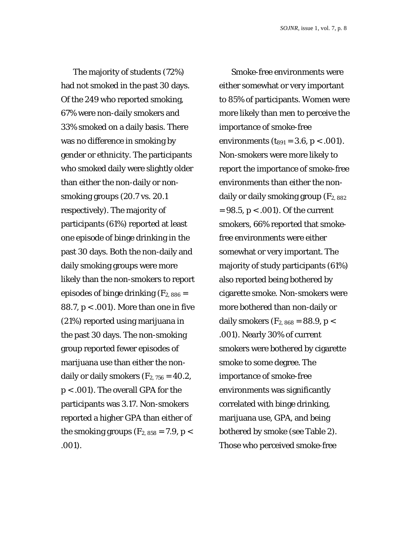The majority of students (72%) had not smoked in the past 30 days. Of the 249 who reported smoking, 67% were non-daily smokers and 33% smoked on a daily basis. There was no difference in smoking by gender or ethnicity. The participants who smoked daily were slightly older than either the non-daily or nonsmoking groups (20.7 vs. 20.1 respectively). The majority of participants (61%) reported at least one episode of binge drinking in the past 30 days. Both the non-daily and daily smoking groups were more likely than the non-smokers to report episodes of binge drinking  $(F_{2, 886} =$ 88.7, *p* < .001). More than one in five (21%) reported using marijuana in the past 30 days. The non-smoking group reported fewer episodes of marijuana use than either the nondaily or daily smokers  $(F<sub>2, 756</sub> = 40.2)$ , *p* < .001). The overall GPA for the participants was 3.17. Non-smokers reported a higher GPA than either of the smoking groups  $(F_{2, 858} = 7.9, p <$ .001).

Smoke-free environments were either somewhat or very important to 85% of participants. Women were more likely than men to perceive the importance of smoke-free environments (*t*<sup>891</sup> = 3.6, *p* < .001). Non-smokers were more likely to report the importance of smoke-free environments than either the nondaily or daily smoking group (*F*2, 882 = 98.5, *p* < .001). Of the current smokers, 66% reported that smokefree environments were either somewhat or very important. The majority of study participants (61%) also reported being bothered by cigarette smoke. Non-smokers were more bothered than non-daily or daily smokers ( $F_{2, 868}$  = 88.9,  $p <$ .001). Nearly 30% of current smokers were bothered by cigarette smoke to some degree. The importance of smoke-free environments was significantly correlated with binge drinking, marijuana use, GPA, and being bothered by smoke (see Table 2). Those who perceived smoke-free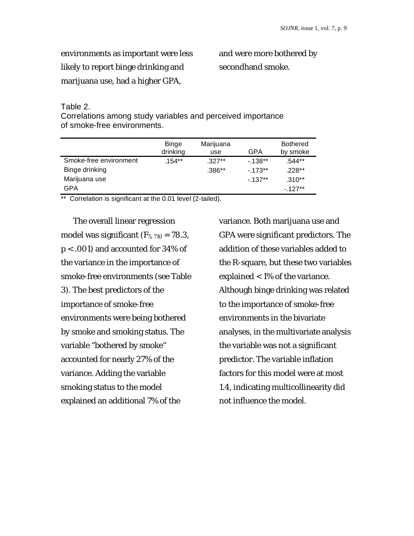environments as important were less likely to report binge drinking and marijuana use, had a higher GPA,

and were more bothered by secondhand smoke.

### Table 2.

Correlations among study variables and perceived importance of smoke-free environments.

|                        | Binge<br>drinking | Marijuana<br>use | GPA      | <b>Bothered</b><br>by smoke |
|------------------------|-------------------|------------------|----------|-----------------------------|
| Smoke-free environment | $.154**$          | $.327**$         | $-138**$ | .544**                      |
| Binge drinking         |                   | $.386**$         | $-173**$ | $.228**$                    |
| Marijuana use          |                   |                  | $-137**$ | $.310**$                    |
| GPA                    |                   |                  |          | $-127**$                    |

\*\* Correlation is significant at the 0.01 level (2-tailed).

The overall linear regression model was significant  $(F_{5, 710} = 78.3)$ , *p* < .001) and accounted for 34% of the variance in the importance of smoke-free environments (see Table 3). The best predictors of the importance of smoke-free environments were being bothered by smoke and smoking status. The variable "bothered by smoke" accounted for nearly 27% of the variance. Adding the variable smoking status to the model explained an additional 7% of the

variance. Both marijuana use and GPA were significant predictors. The addition of these variables added to the R-square, but these two variables explained < 1% of the variance. Although binge drinking was related to the importance of smoke-free environments in the bivariate analyses, in the multivariate analysis the variable was not a significant predictor. The variable inflation factors for this model were at most 1.4, indicating multicollinearity did not influence the model.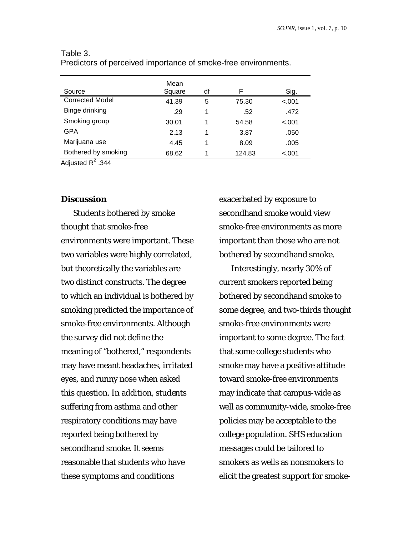| Source                 | Mean<br>Square | df | F      | Sig.    |
|------------------------|----------------|----|--------|---------|
| <b>Corrected Model</b> | 41.39          | 5  | 75.30  | $-.001$ |
| Binge drinking         | .29            | 1  | .52    | .472    |
| Smoking group          | 30.01          | 1  | 54.58  | $-.001$ |
| GPA                    | 2.13           | 1  | 3.87   | .050    |
| Marijuana use          | 4.45           | 1  | 8.09   | .005    |
| Bothered by smoking    | 68.62          | 1  | 124.83 | $-.001$ |

## Table 3.

Predictors of perceived importance of smoke-free environments.

Adjusted  $R^2$  .344

#### **Discussion**

Students bothered by smoke thought that smoke-free environments were important. These two variables were highly correlated, but theoretically the variables are two distinct constructs. The degree to which an individual is bothered by smoking predicted the importance of smoke-free environments. Although the survey did not define the meaning of "bothered," respondents may have meant headaches, irritated eyes, and runny nose when asked this question. In addition, students suffering from asthma and other respiratory conditions may have reported being bothered by secondhand smoke. It seems reasonable that students who have these symptoms and conditions

exacerbated by exposure to secondhand smoke would view smoke-free environments as more important than those who are not bothered by secondhand smoke.

Interestingly, nearly 30% of current smokers reported being bothered by secondhand smoke to some degree, and two-thirds thought smoke-free environments were important to some degree. The fact that some college students who smoke may have a positive attitude toward smoke-free environments may indicate that campus-wide as well as community-wide, smoke-free policies may be acceptable to the college population. SHS education messages could be tailored to smokers as wells as nonsmokers to elicit the greatest support for smoke-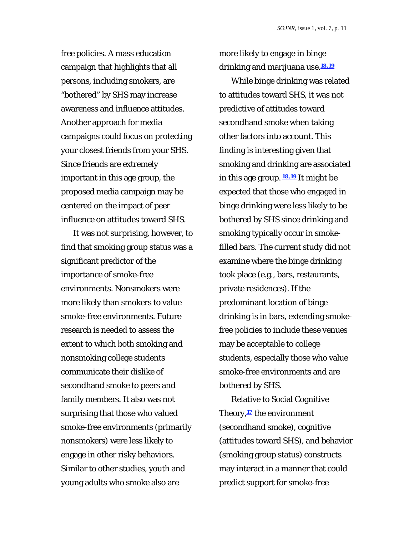free policies. A mass education campaign that highlights that all persons, including smokers, are "bothered" by SHS may increase awareness and influence attitudes. Another approach for media campaigns could focus on protecting your closest friends from your SHS. Since friends are extremely important in this age group, the proposed media campaign may be centered on the impact of peer influence on attitudes toward SHS.

It was not surprising, however, to find that smoking group status was a significant predictor of the importance of smoke-free environments. Nonsmokers were more likely than smokers to value smoke-free environments. Future research is needed to assess the extent to which both smoking and nonsmoking college students communicate their dislike of secondhand smoke to peers and family members. It also was not surprising that those who valued smoke-free environments (primarily nonsmokers) were less likely to engage in other risky behaviors. Similar to other studies, youth and young adults who smoke also are

more likely to engage in binge drinking and marijuana use.**18,19**

While binge drinking was related to attitudes toward SHS, it was not predictive of attitudes toward secondhand smoke when taking other factors into account. This finding is interesting given that smoking and drinking are associated in this age group. **18,19** It might be expected that those who engaged in binge drinking were less likely to be bothered by SHS since drinking and smoking typically occur in smokefilled bars. The current study did not examine where the binge drinking took place (e.g., bars, restaurants, private residences). If the predominant location of binge drinking is in bars, extending smokefree policies to include these venues may be acceptable to college students, especially those who value smoke-free environments and are bothered by SHS.

Relative to Social Cognitive Theory,**17** the environment (secondhand smoke), cognitive (attitudes toward SHS), and behavior (smoking group status) constructs may interact in a manner that could predict support for smoke-free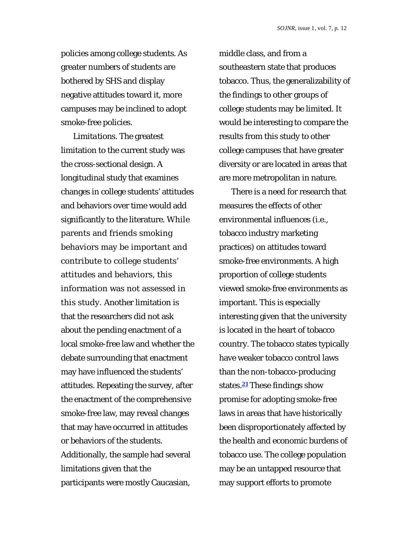policies among college students. As greater numbers of students are bothered by SHS and display negative attitudes toward it, more campuses may be inclined to adopt smoke-free policies.

*Limitations.* The greatest limitation to the current study was the cross-sectional design. A longitudinal study that examines changes in college students' attitudes and behaviors over time would add significantly to the literature. While parents and friends smoking behaviors may be important and contribute to college students' attitudes and behaviors, this information was not assessed in this study. Another limitation is that the researchers did not ask about the pending enactment of a local smoke-free law and whether the debate surrounding that enactment may have influenced the students' attitudes. Repeating the survey, after the enactment of the comprehensive smoke-free law, may reveal changes that may have occurred in attitudes or behaviors of the students. Additionally, the sample had several limitations given that the participants were mostly Caucasian,

middle class, and from a southeastern state that produces tobacco. Thus, the generalizability of the findings to other groups of college students may be limited. It would be interesting to compare the results from this study to other college campuses that have greater diversity or are located in areas that are more metropolitan in nature.

There is a need for research that measures the effects of other environmental influences (i.e., tobacco industry marketing practices) on attitudes toward smoke-free environments. A high proportion of college students viewed smoke-free environments as important. This is especially interesting given that the university is located in the heart of tobacco country. The tobacco states typically have weaker tobacco control laws than the non-tobacco-producing states.**21** These findings show promise for adopting smoke-free laws in areas that have historically been disproportionately affected by the health and economic burdens of tobacco use. The college population may be an untapped resource that may support efforts to promote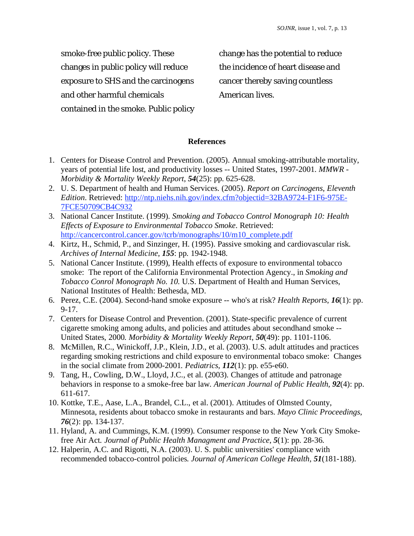smoke-free public policy. These changes in public policy will reduce exposure to SHS and the carcinogens and other harmful chemicals contained in the smoke. Public policy change has the potential to reduce the incidence of heart disease and cancer thereby saving countless American lives.

## **References**

- 1. Centers for Disease Control and Prevention. (2005). Annual smoking-attributable mortality, years of potential life lost, and productivity losses -- United States, 1997-2001*. MMWR - Morbidity & Mortality Weekly Report*, *54*(25): pp. 625-628.
- 2. U. S. Department of health and Human Services. (2005). *Report on Carcinogens, Eleventh Edition*. Retrieved: http://ntp.niehs.nih.gov/index.cfm?objectid=32BA9724-F1F6-975E-7FCE50709CB4C932
- 3. National Cancer Institute. (1999). *Smoking and Tobacco Control Monograph 10: Health Effects of Exposure to Environmental Tobacco Smoke*. Retrieved: http://cancercontrol.cancer.gov/tcrb/monographs/10/m10\_complete.pdf
- 4. Kirtz, H., Schmid, P., and Sinzinger, H. (1995). Passive smoking and cardiovascular risk*. Archives of Internal Medicine*, *155*: pp. 1942-1948.
- 5. National Cancer Institute. (1999), Health effects of exposure to environmental tobacco smoke: The report of the California Environmental Protection Agency., in *Smoking and Tobacco Conrol Monograph No. 10*. U.S. Department of Health and Human Services, National Institutes of Health: Bethesda, MD.
- 6. Perez, C.E. (2004). Second-hand smoke exposure -- who's at risk? *Health Reports*, *16*(1): pp. 9-17.
- 7. Centers for Disease Control and Prevention. (2001). State-specific prevalence of current cigarette smoking among adults, and policies and attitudes about secondhand smoke -- United States, 2000*. Morbidity & Mortality Weekly Report*, *50*(49): pp. 1101-1106.
- 8. McMillen, R.C., Winickoff, J.P., Klein, J.D., et al. (2003). U.S. adult attitudes and practices regarding smoking restrictions and child exposure to environmental tobaco smoke: Changes in the social climate from 2000-2001*. Pediatrics*, *112*(1): pp. e55-e60.
- 9. Tang, H., Cowling, D.W., Lloyd, J.C., et al. (2003). Changes of attitude and patronage behaviors in response to a smoke-free bar law*. American Journal of Public Health*, *92*(4): pp. 611-617.
- 10. Kottke, T.E., Aase, L.A., Brandel, C.L., et al. (2001). Attitudes of Olmsted County, Minnesota, residents about tobacco smoke in restaurants and bars. *Mayo Clinic Proceedings*, *76*(2): pp. 134-137.
- 11. Hyland, A. and Cummings, K.M. (1999). Consumer response to the New York City Smokefree Air Act*. Journal of Public Health Managment and Practice*, *5*(1): pp. 28-36.
- 12. Halperin, A.C. and Rigotti, N.A. (2003). U. S. public universities' compliance with recommended tobacco-control policies*. Journal of American College Health*, *51*(181-188).